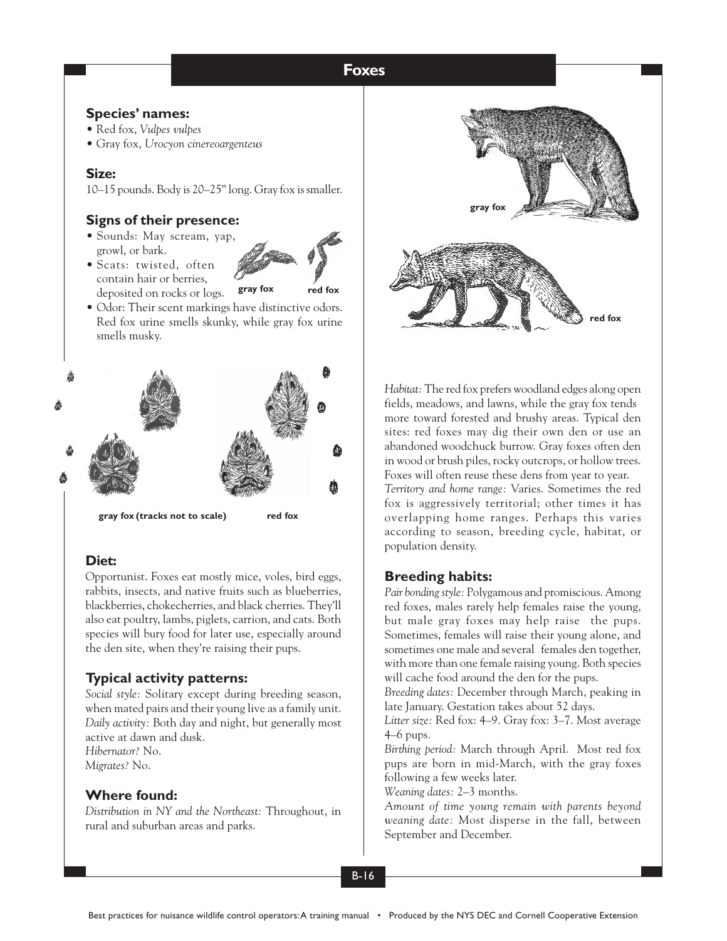#### **Foxes Foxes**

### **Species' names:**

- Red fox, *Vulpes vulpes*
- Gray fox, *Urocyon cinereoargenteus*

## **Size:**

10–15 pounds. Body is 20–25" long. Gray fox is smaller.

# **Signs of their presence:**

• Sounds: May scream, yap, growl, or bark.

• Scats: twisted, often



- contain hair or berries, deposited on rocks or logs.
- Odor: Their scent markings have distinctive odors. Red fox urine smells skunky, while gray fox urine smells musky.



# **Diet:**

Opportunist. Foxes eat mostly mice, voles, bird eggs, rabbits, insects, and native fruits such as blueberries, blackberries, chokecherries, and black cherries. They'll also eat poultry, lambs, piglets, carrion, and cats. Both species will bury food for later use, especially around the den site, when they're raising their pups.

# **Typical activity patterns:**

*Social style:* Solitary except during breeding season, when mated pairs and their young live as a family unit. *Daily activity:* Both day and night, but generally most active at dawn and dusk. *Hibernator?* No.

*Migrates?* No.

## **Where found:**

*Distribution in NY and the Northeast:* Throughout, in rural and suburban areas and parks.



*Habitat:* The red fox prefers woodland edges along open fields, meadows, and lawns, while the gray fox tends more toward forested and brushy areas. Typical den sites: red foxes may dig their own den or use an abandoned woodchuck burrow. Gray foxes often den in wood or brush piles, rocky outcrops, or hollow trees. Foxes will often reuse these dens from year to year. *Territory and home range:* Varies. Sometimes the red fox is aggressively territorial; other times it has overlapping home ranges. Perhaps this varies according to season, breeding cycle, habitat, or population density.

# **Breeding habits:**

*Pair bonding style:* Polygamous and promiscious. Among red foxes, males rarely help females raise the young, but male gray foxes may help raise the pups. Sometimes, females will raise their young alone, and sometimes one male and several females den together, with more than one female raising young. Both species will cache food around the den for the pups.

*Breeding dates:* December through March, peaking in late January. Gestation takes about 52 days.

*Litter size:* Red fox: 4–9. Gray fox: 3–7. Most average 4–6 pups.

*Birthing period:* March through April. Most red fox pups are born in mid-March, with the gray foxes following a few weeks later.

*Weaning dates:* 2–3 months.

*Amount of time young remain with parents beyond weaning date:* Most disperse in the fall, between September and December.

B-16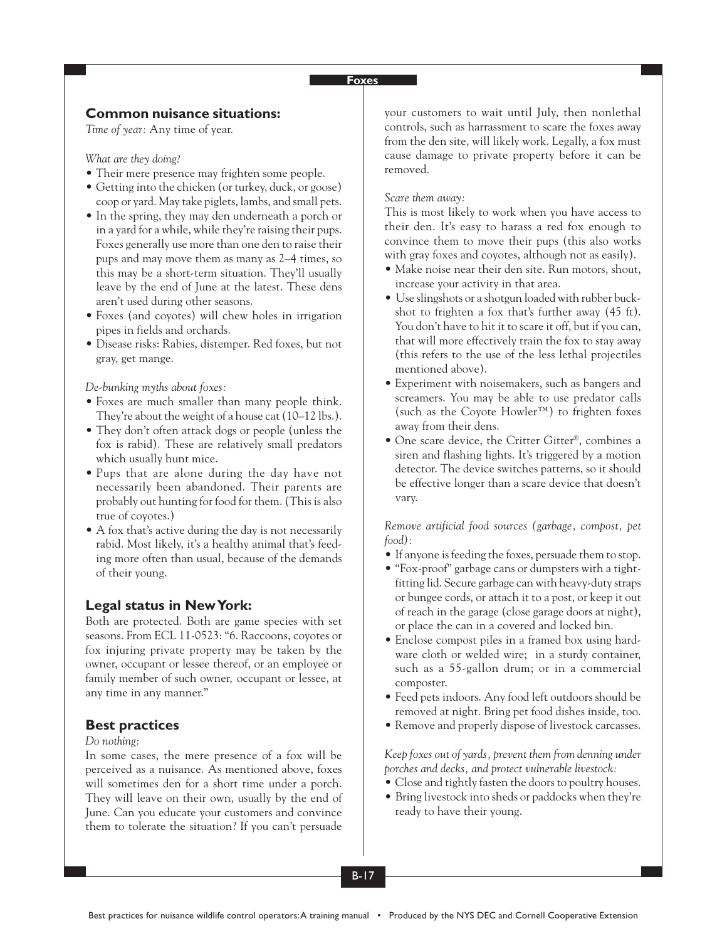### **Foxes**

## **Common nuisance situations:**

*Time of year:* Any time of year.

*What are they doing?*

- Their mere presence may frighten some people.
- Getting into the chicken (or turkey, duck, or goose) coop or yard. May take piglets, lambs, and small pets.
- In the spring, they may den underneath a porch or in a yard for a while, while they're raising their pups. Foxes generally use more than one den to raise their pups and may move them as many as 2–4 times, so this may be a short-term situation. They'll usually leave by the end of June at the latest. These dens aren't used during other seasons.
- Foxes (and coyotes) will chew holes in irrigation pipes in fields and orchards.
- Disease risks: Rabies, distemper. Red foxes, but not gray, get mange.

*De-bunking myths about foxes:*

- Foxes are much smaller than many people think. They're about the weight of a house cat (10–12 lbs.).
- They don't often attack dogs or people (unless the fox is rabid). These are relatively small predators which usually hunt mice.
- Pups that are alone during the day have not necessarily been abandoned. Their parents are probably out hunting for food for them. (This is also true of coyotes.)
- A fox that's active during the day is not necessarily rabid. Most likely, it's a healthy animal that's feeding more often than usual, because of the demands of their young.

## **Legal status in New York:**

Both are protected. Both are game species with set seasons. From ECL 11-0523: "6. Raccoons, coyotes or fox injuring private property may be taken by the owner, occupant or lessee thereof, or an employee or family member of such owner, occupant or lessee, at any time in any manner."

#### **Best practices**

#### *Do nothing:*

In some cases, the mere presence of a fox will be perceived as a nuisance. As mentioned above, foxes will sometimes den for a short time under a porch. They will leave on their own, usually by the end of June. Can you educate your customers and convince them to tolerate the situation? If you can't persuade

your customers to wait until July, then nonlethal controls, such as harrassment to scare the foxes away from the den site, will likely work. Legally, a fox must cause damage to private property before it can be removed.

#### *Scare them away:*

This is most likely to work when you have access to their den. It's easy to harass a red fox enough to convince them to move their pups (this also works with gray foxes and coyotes, although not as easily).

- Make noise near their den site. Run motors, shout, increase your activity in that area.
- Use slingshots or a shotgun loaded with rubber buckshot to frighten a fox that's further away (45 ft). You don't have to hit it to scare it off, but if you can, that will more effectively train the fox to stay away (this refers to the use of the less lethal projectiles mentioned above).
- Experiment with noisemakers, such as bangers and screamers. You may be able to use predator calls (such as the Coyote Howler™) to frighten foxes away from their dens.
- One scare device, the Critter Gitter®, combines a siren and flashing lights. It's triggered by a motion detector. The device switches patterns, so it should be effective longer than a scare device that doesn't vary.

*Remove artificial food sources (garbage, compost, pet food):*

- If anyone is feeding the foxes, persuade them to stop.
- "Fox-proof" garbage cans or dumpsters with a tightfitting lid. Secure garbage can with heavy-duty straps or bungee cords, or attach it to a post, or keep it out of reach in the garage (close garage doors at night), or place the can in a covered and locked bin.
- Enclose compost piles in a framed box using hardware cloth or welded wire; in a sturdy container, such as a 55-gallon drum; or in a commercial composter.
- Feed pets indoors. Any food left outdoors should be removed at night. Bring pet food dishes inside, too.
- Remove and properly dispose of livestock carcasses.

*Keep foxes out of yards, prevent them from denning under porches and decks, and protect vulnerable livestock:*

- Close and tightly fasten the doors to poultry houses.
- Bring livestock into sheds or paddocks when they're ready to have their young.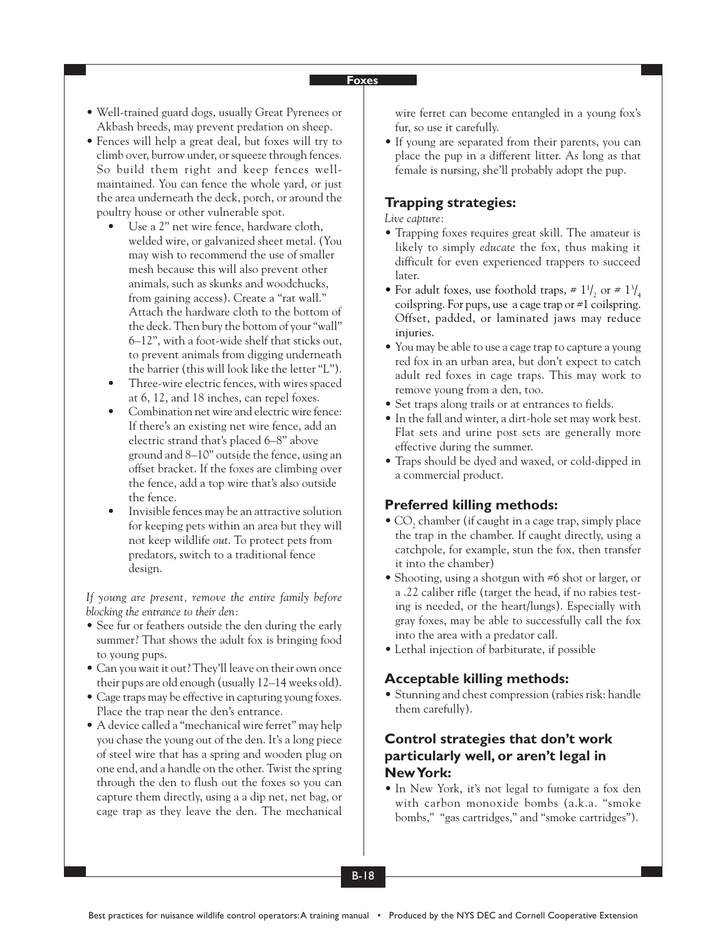#### **Foxes**

- Well-trained guard dogs, usually Great Pyrenees or Akbash breeds, may prevent predation on sheep.
- Fences will help a great deal, but foxes will try to climb over, burrow under, or squeeze through fences. So build them right and keep fences wellmaintained. You can fence the whole yard, or just the area underneath the deck, porch, or around the poultry house or other vulnerable spot.
	- Use a 2" net wire fence, hardware cloth, welded wire, or galvanized sheet metal. (You may wish to recommend the use of smaller mesh because this will also prevent other animals, such as skunks and woodchucks, from gaining access). Create a "rat wall." Attach the hardware cloth to the bottom of the deck. Then bury the bottom of your "wall" 6–12", with a foot-wide shelf that sticks out, to prevent animals from digging underneath the barrier (this will look like the letter "L").
	- Three-wire electric fences, with wires spaced at 6, 12, and 18 inches, can repel foxes.
	- Combination net wire and electric wire fence: If there's an existing net wire fence, add an electric strand that's placed 6–8" above ground and 8–10" outside the fence, using an offset bracket. If the foxes are climbing over the fence, add a top wire that's also outside the fence.
	- Invisible fences may be an attractive solution for keeping pets within an area but they will not keep wildlife *out*. To protect pets from predators, switch to a traditional fence design.

*If young are present, remove the entire family before blocking the entrance to their den:*

- See fur or feathers outside the den during the early summer? That shows the adult fox is bringing food to young pups.
- Can you wait it out? They'll leave on their own once their pups are old enough (usually 12–14 weeks old).
- Cage traps may be effective in capturing young foxes. Place the trap near the den's entrance.
- A device called a "mechanical wire ferret" may help you chase the young out of the den. It's a long piece of steel wire that has a spring and wooden plug on one end, and a handle on the other. Twist the spring through the den to flush out the foxes so you can capture them directly, using a a dip net, net bag, or cage trap as they leave the den. The mechanical

wire ferret can become entangled in a young fox's fur, so use it carefully.

• If young are separated from their parents, you can place the pup in a different litter. As long as that female is nursing, she'll probably adopt the pup.

## **Trapping strategies:**

*Live capture:*

- Trapping foxes requires great skill. The amateur is likely to simply *educate* the fox, thus making it difficult for even experienced trappers to succeed later.
- For adult foxes, use foothold traps,  $\neq 1^{1/2}$  or  $\neq 1^{3/4}$ coilspring. For pups, use a cage trap or #1 coilspring. Offset, padded, or laminated jaws may reduce injuries.
- You may be able to use a cage trap to capture a young red fox in an urban area, but don't expect to catch adult red foxes in cage traps. This may work to remove young from a den, too.
- Set traps along trails or at entrances to fields.
- In the fall and winter, a dirt-hole set may work best. Flat sets and urine post sets are generally more effective during the summer.
- Traps should be dyed and waxed, or cold-dipped in a commercial product.

### **Preferred killing methods:**

- CO<sub>2</sub> chamber (if caught in a cage trap, simply place the trap in the chamber. If caught directly, using a catchpole, for example, stun the fox, then transfer it into the chamber)
- Shooting, using a shotgun with #6 shot or larger, or a .22 caliber rifle (target the head, if no rabies testing is needed, or the heart/lungs). Especially with gray foxes, may be able to successfully call the fox into the area with a predator call.
- Lethal injection of barbiturate, if possible

### **Acceptable killing methods:**

• Stunning and chest compression (rabies risk: handle them carefully).

# **Control strategies that don't work particularly well, or aren't legal in New York:**

• In New York, it's not legal to fumigate a fox den with carbon monoxide bombs (a.k.a. "smoke bombs," "gas cartridges," and "smoke cartridges").